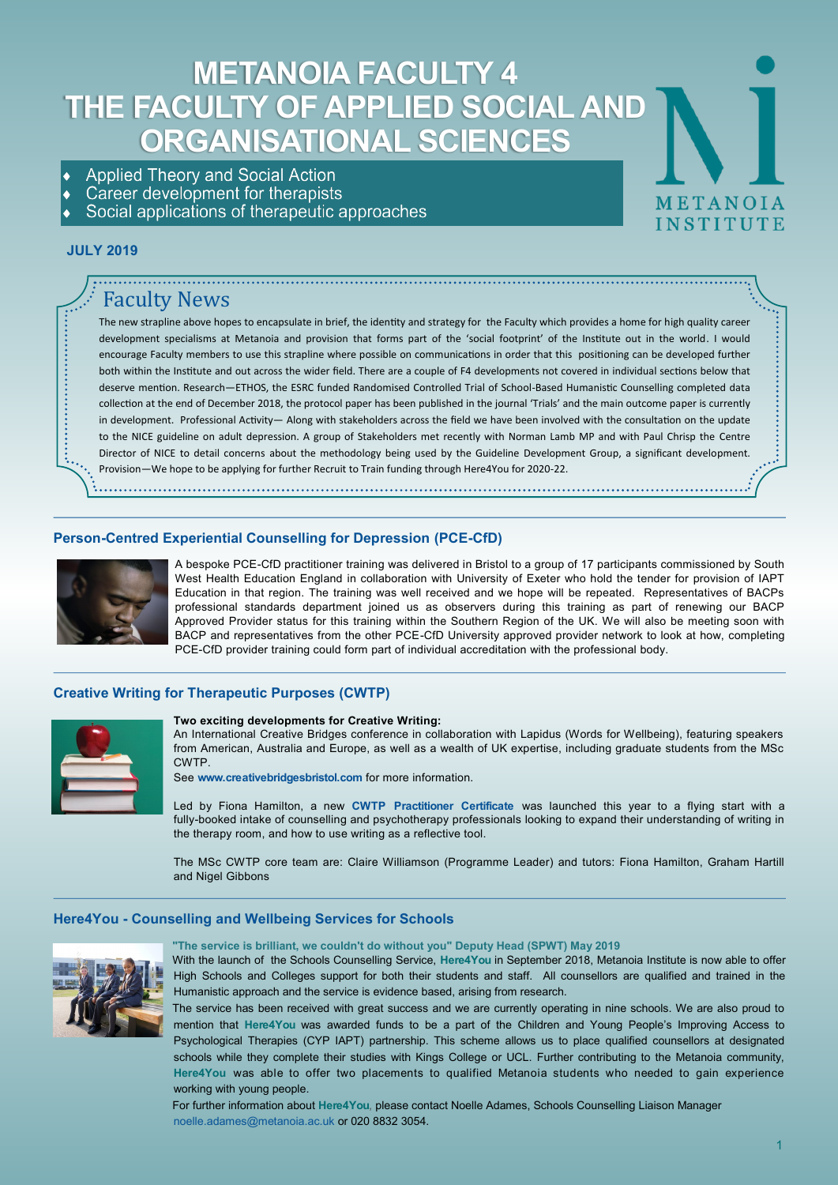# **METANOIA FACULTY 4 THE FACULTY OF APPLIED SOCIAL AND ORGANISATIONAL SCIENCES**

- **Applied Theory and Social Action**
- Career development for therapists
- Social applications of therapeutic approaches

# **JULY 2019**

# Faculty News

The new strapline above hopes to encapsulate in brief, the identity and strategy for the Faculty which provides a home for high quality career development specialisms at Metanoia and provision that forms part of the 'social footprint' of the Institute out in the world. I would encourage Faculty members to use this strapline where possible on communications in order that this positioning can be developed further both within the Institute and out across the wider field. There are a couple of F4 developments not covered in individual sections below that deserve mention. Research—ETHOS, the ESRC funded Randomised Controlled Trial of School-Based Humanistic Counselling completed data collection at the end of December 2018, the protocol paper has been published in the journal 'Trials' and the main outcome paper is currently in development. Professional Activity— Along with stakeholders across the field we have been involved with the consultation on the update to the NICE guideline on adult depression. A group of Stakeholders met recently with Norman Lamb MP and with Paul Chrisp the Centre Director of NICE to detail concerns about the methodology being used by the Guideline Development Group, a significant development. Provision—We hope to be applying for further Recruit to Train funding through Here4You for 2020-22.

## **Person-Centred Experiential Counselling for Depression (PCE-CfD)**



A bespoke PCE-CfD practitioner training was delivered in Bristol to a group of 17 participants commissioned by South West Health Education England in collaboration with University of Exeter who hold the tender for provision of IAPT Education in that region. The training was well received and we hope will be repeated. Representatives of BACPs professional standards department joined us as observers during this training as part of renewing our BACP Approved Provider status for this training within the Southern Region of the UK. We will also be meeting soon with BACP and representatives from the other PCE-CfD University approved provider network to look at how, completing PCE-CfD provider training could form part of individual accreditation with the professional body.

# **Creative Writing for Therapeutic Purposes (CWTP)**



#### **Two exciting developments for Creative Writing:**

An International Creative Bridges conference in collaboration with Lapidus (Words for Wellbeing), featuring speakers from American, Australia and Europe, as well as a wealth of UK expertise, including graduate students from the MSc CWTP.

See **[www.creativebridgesbristol.com](http://www.creativebridgesbristol.com/)** for more information.

Led by Fiona Hamilton, a new **[CWTP Practitioner Certificate](http://www.metanoia.ac.uk/programmes/special-interest/practitioner-certificate-creative-writing-for-therapeutic-purposes-cwtp-for-therapists/)** was launched this year to a flying start with a fully-booked intake of counselling and psychotherapy professionals looking to expand their understanding of writing in the therapy room, and how to use writing as a reflective tool.

The MSc CWTP core team are: Claire Williamson (Programme Leader) and tutors: Fiona Hamilton, Graham Hartill and Nigel Gibbons

#### **Here4You - Counselling and Wellbeing Services for Schools**



**"The service is brilliant, we couldn't do without you" Deputy Head (SPWT) May 2019**

With the launch of the Schools Counselling Service, **Here4You** in September 2018, Metanoia Institute is now able to offer High Schools and Colleges support for both their students and staff. All counsellors are qualified and trained in the Humanistic approach and the service is evidence based, arising from research.

The service has been received with great success and we are currently operating in nine schools. We are also proud to mention that **Here4You** was awarded funds to be a part of the Children and Young People's Improving Access to Psychological Therapies (CYP IAPT) partnership. This scheme allows us to place qualified counsellors at designated schools while they complete their studies with Kings College or UCL. Further contributing to the Metanoia community, **Here4You** was able to offer two placements to qualified Metanoia students who needed to gain experience working with young people.

For further information about **Here4You**, please contact Noelle Adames, Schools Counselling Liaison Manager [noelle.adames@metanoia.ac.uk](mailto:noelle.adames@metanoia.ac.uk) or 020 8832 3054.

METANOIA

**INSTITUTE**